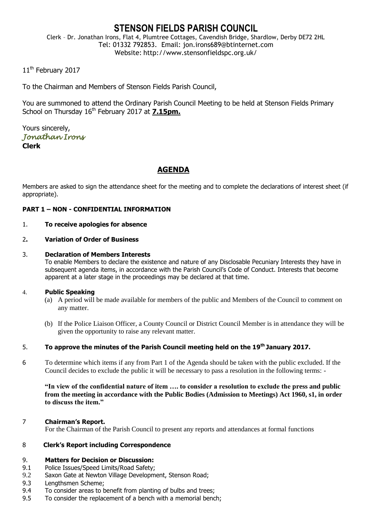# **STENSON FIELDS PARISH COUNCIL**

Clerk – Dr. Jonathan Irons, Flat 4, Plumtree Cottages, Cavendish Bridge, Shardlow, Derby DE72 2HL Tel: 01332 792853. Email: jon.irons689@btinternet.com Website: http://www.stensonfieldspc.org.uk/

11<sup>th</sup> February 2017

To the Chairman and Members of Stenson Fields Parish Council,

You are summoned to attend the Ordinary Parish Council Meeting to be held at Stenson Fields Primary School on Thursday 16<sup>th</sup> February 2017 at 7.15pm.

Yours sincerely, *Jonathan Irons*  **Clerk**

## **AGENDA**

Members are asked to sign the attendance sheet for the meeting and to complete the declarations of interest sheet (if appropriate).

## **PART 1 – NON - CONFIDENTIAL INFORMATION**

#### 1. **To receive apologies for absence**

2**. Variation of Order of Business**

#### 3. **Declaration of Members Interests**

To enable Members to declare the existence and nature of any Disclosable Pecuniary Interests they have in subsequent agenda items, in accordance with the Parish Council's Code of Conduct. Interests that become apparent at a later stage in the proceedings may be declared at that time.

#### 4. **Public Speaking**

- (a) A period will be made available for members of the public and Members of the Council to comment on any matter.
- (b) If the Police Liaison Officer, a County Council or District Council Member is in attendance they will be given the opportunity to raise any relevant matter.

#### 5. **To approve the minutes of the Parish Council meeting held on the 19th January 2017.**

6 To determine which items if any from Part 1 of the Agenda should be taken with the public excluded. If the Council decides to exclude the public it will be necessary to pass a resolution in the following terms: -

**"In view of the confidential nature of item …. to consider a resolution to exclude the press and public from the meeting in accordance with the Public Bodies (Admission to Meetings) Act 1960, s1, in order to discuss the item."** 

#### 7 **Chairman's Report.**

For the Chairman of the Parish Council to present any reports and attendances at formal functions

#### 8 **Clerk's Report including Correspondence**

## 9. **Matters for Decision or Discussion:**

- 9.1 Police Issues/Speed Limits/Road Safety;
- 9.2 Saxon Gate at Newton Village Development, Stenson Road;
- 9.3 Lengthsmen Scheme;
- 9.4 To consider areas to benefit from planting of bulbs and trees;
- 9.5 To consider the replacement of a bench with a memorial bench;